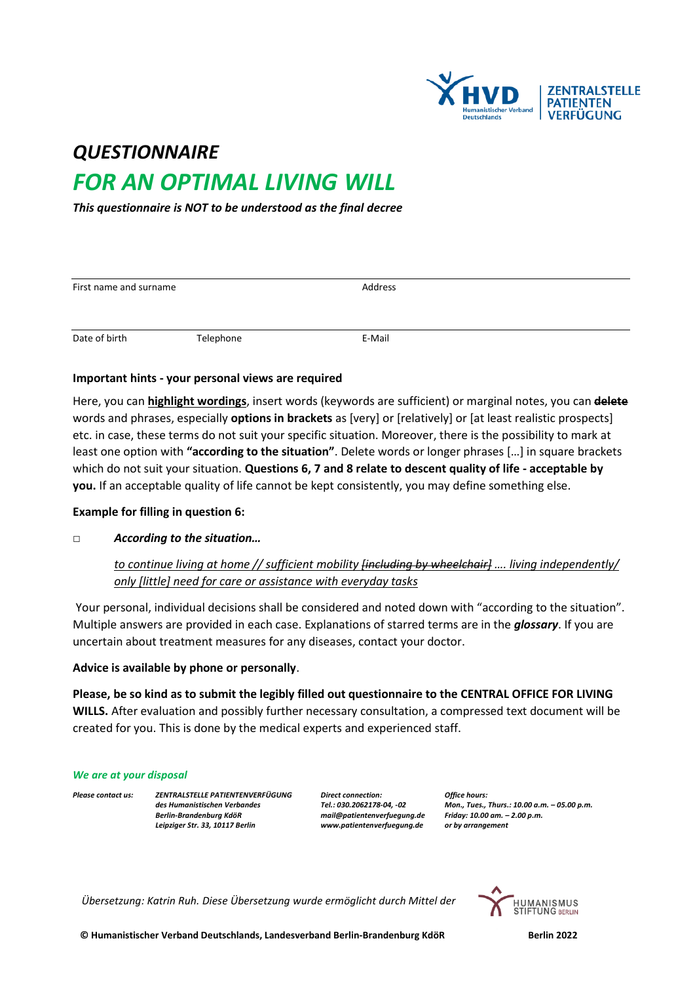

# *QUESTIONNAIRE FOR AN OPTIMAL LIVING WILL*

*This questionnaire is NOT to be understood as the final decree*

| First name and surname |           | Address |  |  |
|------------------------|-----------|---------|--|--|
|                        |           |         |  |  |
| Date of birth          | Telephone | E-Mail  |  |  |

#### **Important hints - your personal views are required**

Here, you can **highlight wordings**, insert words (keywords are sufficient) or marginal notes, you can **delete** words and phrases, especially **options in brackets** as [very] or [relatively] or [at least realistic prospects] etc. in case, these terms do not suit your specific situation. Moreover, there is the possibility to mark at least one option with **"according to the situation"**. Delete words or longer phrases […] in square brackets which do not suit your situation. **Questions 6, 7 and 8 relate to descent quality of life - acceptable by you.** If an acceptable quality of life cannot be kept consistently, you may define something else.

#### **Example for filling in question 6:**

#### □ *According to the situation…*

## *to continue living at home // sufficient mobility [including by wheelchair] …. living independently/ only [little] need for care or assistance with everyday tasks*

Your personal, individual decisions shall be considered and noted down with "according to the situation". Multiple answers are provided in each case. Explanations of starred terms are in the *glossary*. If you are uncertain about treatment measures for any diseases, contact your doctor.

#### **Advice is available by phone or personally**.

**Please, be so kind as to submit the legibly filled out questionnaire to the CENTRAL OFFICE FOR LIVING WILLS.** After evaluation and possibly further necessary consultation, a compressed text document will be created for you. This is done by the medical experts and experienced staff.

#### *We are at your disposal*

*Please contact us: ZENTRALSTELLE PATIENTENVERFÜGUNG Direct connection: Office hours: Leipziger Str. 33, 10117 Berlin [www.patientenverfuegung.de](http://www.patientenverfuegung.de/) or by arrangement*

*Berlin-Brandenburg KdöR [mail@patientenverfuegung.de](mailto:mail@patientenverfuegung.de) Friday: 10.00 am. – 2.00 p.m.*

*des Humanistischen Verbandes Tel.: 030.2062178-04, -02 Mon., Tues., Thurs.: 10.00 a.m. – 05.00 p.m.*

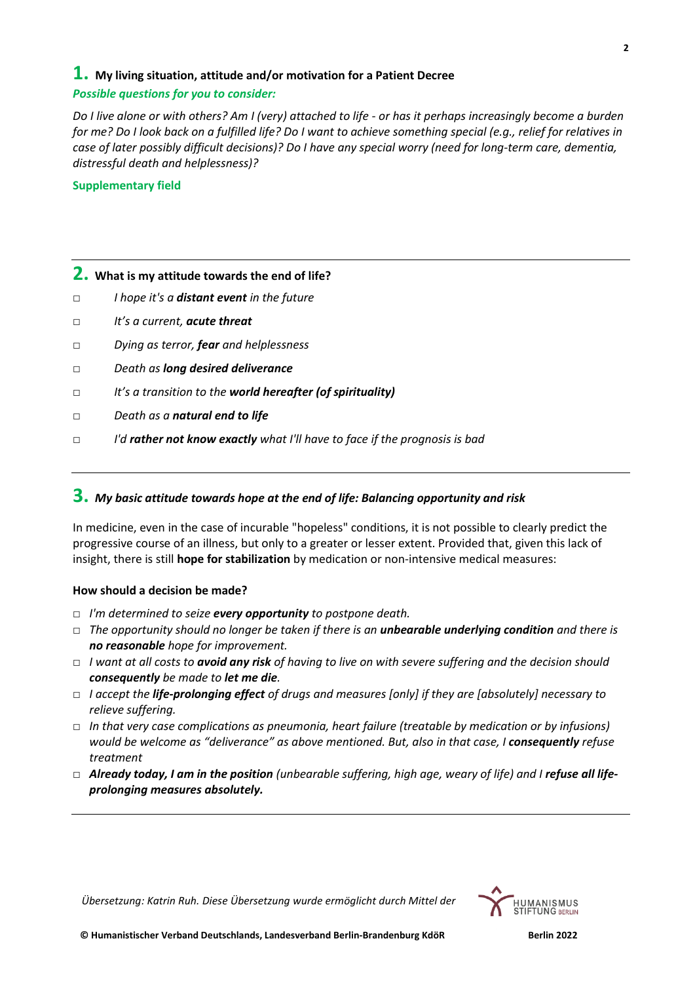#### **1. My living situation, attitude and/or motivation for a Patient Decree**

#### *Possible questions for you to consider:*

*Do I live alone or with others? Am I (very) attached to life - or has it perhaps increasingly become a burden for me? Do I look back on a fulfilled life? Do I want to achieve something special (e.g., relief for relatives in case of later possibly difficult decisions)? Do I have any special worry (need for long-term care, dementia, distressful death and helplessness)?*

#### **Supplementary field**

## **2. What is my attitude towards the end of life?**

- *□ I hope it's a distant event in the future*
- *□ It's a current, acute threat*
- *□ Dying as terror, fear and helplessness*
- *□ Death as long desired deliverance*
- *□ It's a transition to the world hereafter (of spirituality)*
- *□ Death as a natural end to life*
- *□ I'd rather not know exactly what I'll have to face if the prognosis is bad*

## **3.** *My basic attitude towards hope at the end of life: Balancing opportunity and risk*

In medicine, even in the case of incurable "hopeless" conditions, it is not possible to clearly predict the progressive course of an illness, but only to a greater or lesser extent. Provided that, given this lack of insight, there is still **hope for stabilization** by medication or non-intensive medical measures:

#### **How should a decision be made?**

- □ *I'm determined to seize every opportunity to postpone death.*
- □ *The opportunity should no longer be taken if there is an unbearable underlying condition and there is no reasonable hope for improvement.*
- □ *I want at all costs to avoid any risk of having to live on with severe suffering and the decision should consequently be made to let me die.*
- □ *I accept the life-prolonging effect of drugs and measures [only] if they are [absolutely] necessary to relieve suffering.*
- □ *In that very case complications as pneumonia, heart failure (treatable by medication or by infusions) would be welcome as "deliverance" as above mentioned. But, also in that case, I consequently refuse treatment*
- □ **Already today, I am in the position** (unbearable suffering, high age, weary of life) and I **refuse all life***prolonging measures absolutely.*

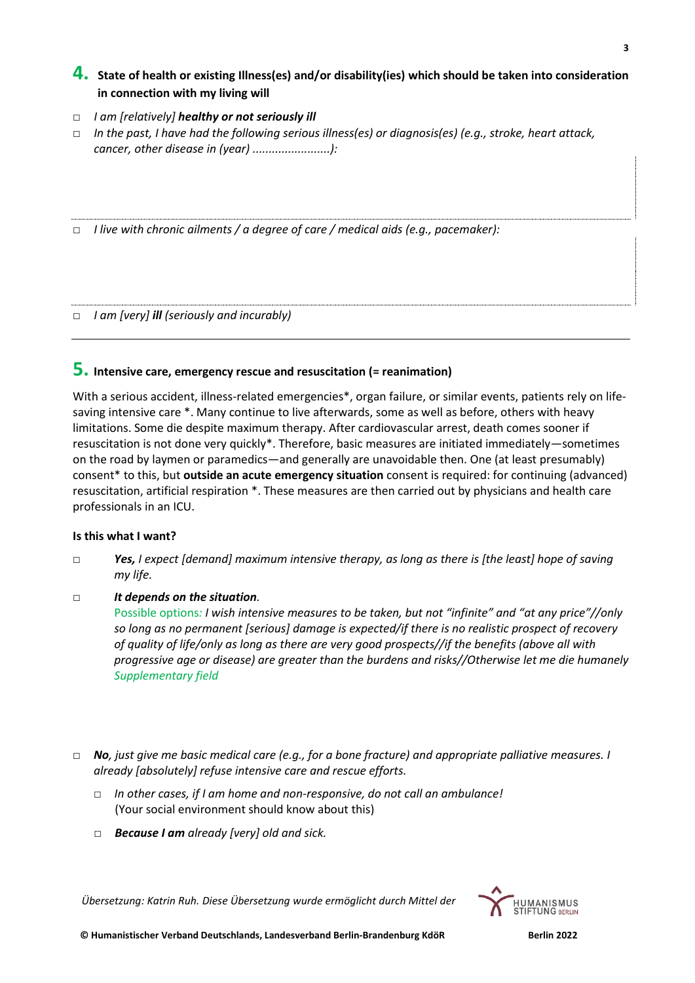## **4. State of health or existing Illness(es) and/or disability(ies) which should be taken into consideration in connection with my living will**

- □ *I am [relatively] healthy or not seriously ill*
- □ *In the past, I have had the following serious illness(es) or diagnosis(es) (e.g., stroke, heart attack, cancer, other disease in (year) ........................):*

□ *I live with chronic ailments / a degree of care / medical aids (e.g., pacemaker):*

□ *I am [very] ill (seriously and incurably)*

#### **5. Intensive care, emergency rescue and resuscitation (= reanimation)**

With a serious accident, illness-related emergencies\*, organ failure, or similar events, patients rely on lifesaving intensive care \*. Many continue to live afterwards, some as well as before, others with heavy limitations. Some die despite maximum therapy. After cardiovascular arrest, death comes sooner if resuscitation is not done very quickly\*. Therefore, basic measures are initiated immediately—sometimes on the road by laymen or paramedics—and generally are unavoidable then. One (at least presumably) consent\* to this, but **outside an acute emergency situation** consent is required: for continuing (advanced) resuscitation, artificial respiration \*. These measures are then carried out by physicians and health care professionals in an ICU.

#### **Is this what I want?**

*□ Yes, I expect [demand] maximum intensive therapy, as long as there is [the least] hope of saving my life.*

#### *□ It depends on the situation.*

Possible options*: I wish intensive measures to be taken, but not "infinite" and "at any price"//only so long as no permanent [serious] damage is expected/if there is no realistic prospect of recovery of quality of life/only as long as there are very good prospects//if the benefits (above all with progressive age or disease) are greater than the burdens and risks//Otherwise let me die humanely Supplementary field* 

- □ *No, just give me basic medical care (e.g., for a bone fracture) and appropriate palliative measures. I already [absolutely] refuse intensive care and rescue efforts.*
	- □ *In other cases, if I am home and non-responsive, do not call an ambulance!* (Your social environment should know about this)
	- □ *Because I am already [very] old and sick.*

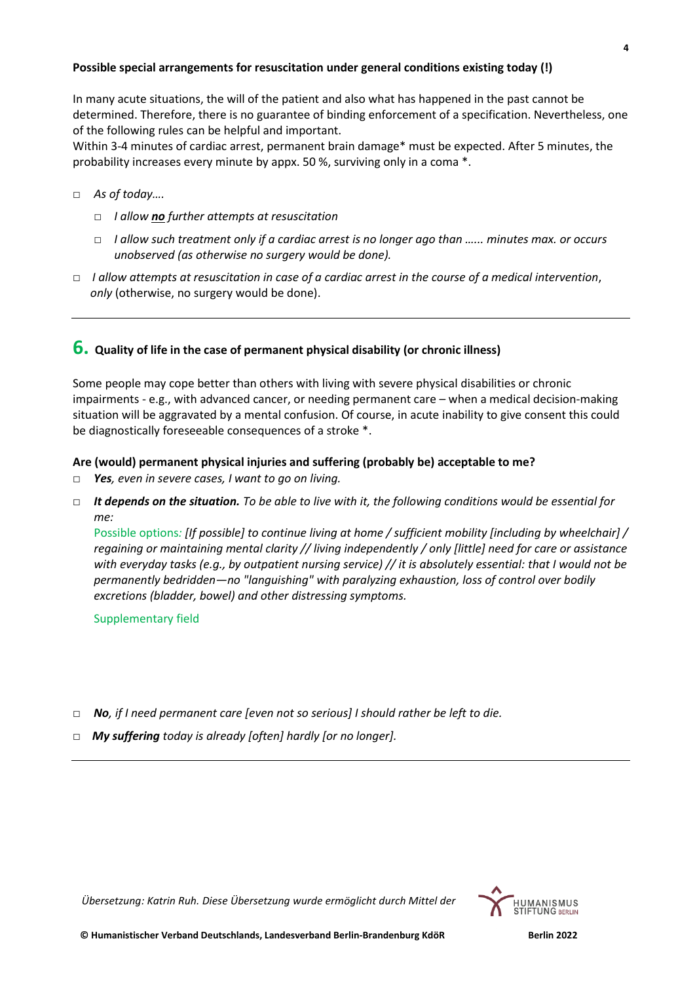#### **Possible special arrangements for resuscitation under general conditions existing today (!)**

In many acute situations, the will of the patient and also what has happened in the past cannot be determined. Therefore, there is no guarantee of binding enforcement of a specification. Nevertheless, one of the following rules can be helpful and important.

Within 3-4 minutes of cardiac arrest, permanent brain damage\* must be expected. After 5 minutes, the probability increases every minute by appx. 50 %, surviving only in a coma \*.

- □ *As of today….*
	- *□ I allow no further attempts at resuscitation*
	- *□ I allow such treatment only if a cardiac arrest is no longer ago than …... minutes max. or occurs unobserved (as otherwise no surgery would be done).*
- *□ I allow attempts at resuscitation in case of a cardiac arrest in the course of a medical intervention*, *only* (otherwise, no surgery would be done).

#### **6. Quality of life in the case of permanent physical disability (or chronic illness)**

Some people may cope better than others with living with severe physical disabilities or chronic impairments - e.g., with advanced cancer, or needing permanent care – when a medical decision-making situation will be aggravated by a mental confusion. Of course, in acute inability to give consent this could be diagnostically foreseeable consequences of a stroke \*.

#### **Are (would) permanent physical injuries and suffering (probably be) acceptable to me?**

- □ *Yes, even in severe cases, I want to go on living.*
- □ *It depends on the situation. To be able to live with it, the following conditions would be essential for me:*

Possible options*: [If possible] to continue living at home / sufficient mobility [including by wheelchair] / regaining or maintaining mental clarity // living independently / only [little] need for care or assistance with everyday tasks (e.g., by outpatient nursing service) // it is absolutely essential: that I would not be permanently bedridden—no "languishing" with paralyzing exhaustion, loss of control over bodily excretions (bladder, bowel) and other distressing symptoms.*

Supplementary field

- □ *No, if I need permanent care [even not so serious] I should rather be left to die.*
- *□ My suffering today is already [often] hardly [or no longer].*



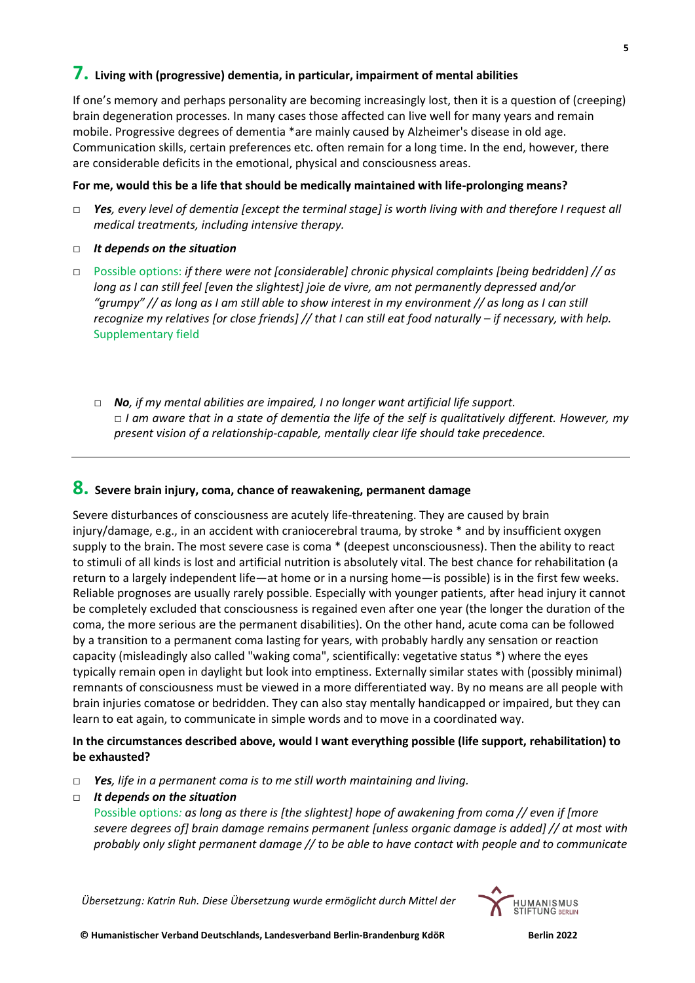## **7. Living with (progressive) dementia, in particular, impairment of mental abilities**

If one's memory and perhaps personality are becoming increasingly lost, then it is a question of (creeping) brain degeneration processes. In many cases those affected can live well for many years and remain mobile. Progressive degrees of dementia \*are mainly caused by Alzheimer's disease in old age. Communication skills, certain preferences etc. often remain for a long time. In the end, however, there are considerable deficits in the emotional, physical and consciousness areas.

#### **For me, would this be a life that should be medically maintained with life-prolonging means?**

- □ *Yes, every level of dementia [except the terminal stage] is worth living with and therefore I request all medical treatments, including intensive therapy.*
- □ *It depends on the situation*
- □ Possible options: *if there were not [considerable] chronic physical complaints [being bedridden] // as long as I can still feel [even the slightest] joie de vivre, am not permanently depressed and/or "grumpy" // as long as I am still able to show interest in my environment // as long as I can still recognize my relatives [or close friends] // that I can still eat food naturally – if necessary, with help.* Supplementary field
	- *□ No, if my mental abilities are impaired, I no longer want artificial life support. □ I am aware that in a state of dementia the life of the self is qualitatively different. However, my present vision of a relationship-capable, mentally clear life should take precedence.*

## **8. Severe brain injury, coma, chance of reawakening, permanent damage**

Severe disturbances of consciousness are acutely life-threatening. They are caused by brain injury/damage, e.g., in an accident with craniocerebral trauma, by stroke \* and by insufficient oxygen supply to the brain. The most severe case is coma \* (deepest unconsciousness). Then the ability to react to stimuli of all kinds is lost and artificial nutrition is absolutely vital. The best chance for rehabilitation (a return to a largely independent life—at home or in a nursing home—is possible) is in the first few weeks. Reliable prognoses are usually rarely possible. Especially with younger patients, after head injury it cannot be completely excluded that consciousness is regained even after one year (the longer the duration of the coma, the more serious are the permanent disabilities). On the other hand, acute coma can be followed by a transition to a permanent coma lasting for years, with probably hardly any sensation or reaction capacity (misleadingly also called "waking coma", scientifically: vegetative status \*) where the eyes typically remain open in daylight but look into emptiness. Externally similar states with (possibly minimal) remnants of consciousness must be viewed in a more differentiated way. By no means are all people with brain injuries comatose or bedridden. They can also stay mentally handicapped or impaired, but they can learn to eat again, to communicate in simple words and to move in a coordinated way.

#### **In the circumstances described above, would I want everything possible (life support, rehabilitation) to be exhausted?**

- □ *Yes, life in a permanent coma is to me still worth maintaining and living.*
- □ *It depends on the situation*

Possible options*: as long as there is [the slightest] hope of awakening from coma // even if [more severe degrees of] brain damage remains permanent [unless organic damage is added] // at most with probably only slight permanent damage // to be able to have contact with people and to communicate* 

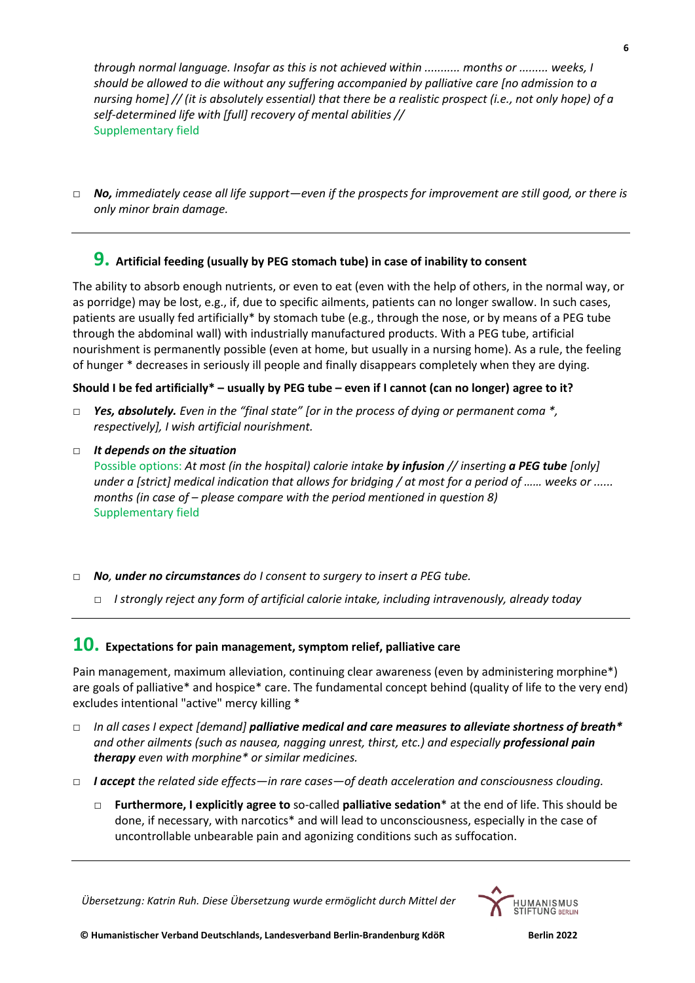*through normal language. Insofar as this is not achieved within ........... months or ......... weeks, I should be allowed to die without any suffering accompanied by palliative care [no admission to a nursing home] // (it is absolutely essential) that there be a realistic prospect (i.e., not only hope) of a self-determined life with [full] recovery of mental abilities //* Supplementary field

□ *No, immediately cease all life support—even if the prospects for improvement are still good, or there is only minor brain damage.*

## **9. Artificial feeding (usually by PEG stomach tube) in case of inability to consent**

The ability to absorb enough nutrients, or even to eat (even with the help of others, in the normal way, or as porridge) may be lost, e.g., if, due to specific ailments, patients can no longer swallow. In such cases, patients are usually fed artificially\* by stomach tube (e.g., through the nose, or by means of a PEG tube through the abdominal wall) with industrially manufactured products. With a PEG tube, artificial nourishment is permanently possible (even at home, but usually in a nursing home). As a rule, the feeling of hunger \* decreases in seriously ill people and finally disappears completely when they are dying.

#### **Should I be fed artificially\* – usually by PEG tube – even if I cannot (can no longer) agree to it?**

- □ *Yes, absolutely. Even in the "final state" [or in the process of dying or permanent coma \*, respectively], I wish artificial nourishment.*
- □ *It depends on the situation* Possible options: *At most (in the hospital) calorie intake by infusion // inserting a PEG tube [only] under a [strict] medical indication that allows for bridging / at most for a period of …… weeks or ...... months (in case of – please compare with the period mentioned in question 8)* Supplementary field
- □ *No, under no circumstances do I consent to surgery to insert a PEG tube.* 
	- □ *I strongly reject any form of artificial calorie intake, including intravenously, already today*

## **10. Expectations for pain management, symptom relief, palliative care**

Pain management, maximum alleviation, continuing clear awareness (even by administering morphine\*) are goals of palliative\* and hospice\* care. The fundamental concept behind (quality of life to the very end) excludes intentional "active" mercy killing \*

- □ *In all cases I expect [demand] palliative medical and care measures to alleviate shortness of breath\* and other ailments (such as nausea, nagging unrest, thirst, etc.) and especially professional pain therapy even with morphine\* or similar medicines.*
- □ *I accept the related side effects—in rare cases—of death acceleration and consciousness clouding.*
	- □ **Furthermore, I explicitly agree to** so-called **palliative sedation**\* at the end of life. This should be done, if necessary, with narcotics\* and will lead to unconsciousness, especially in the case of uncontrollable unbearable pain and agonizing conditions such as suffocation.

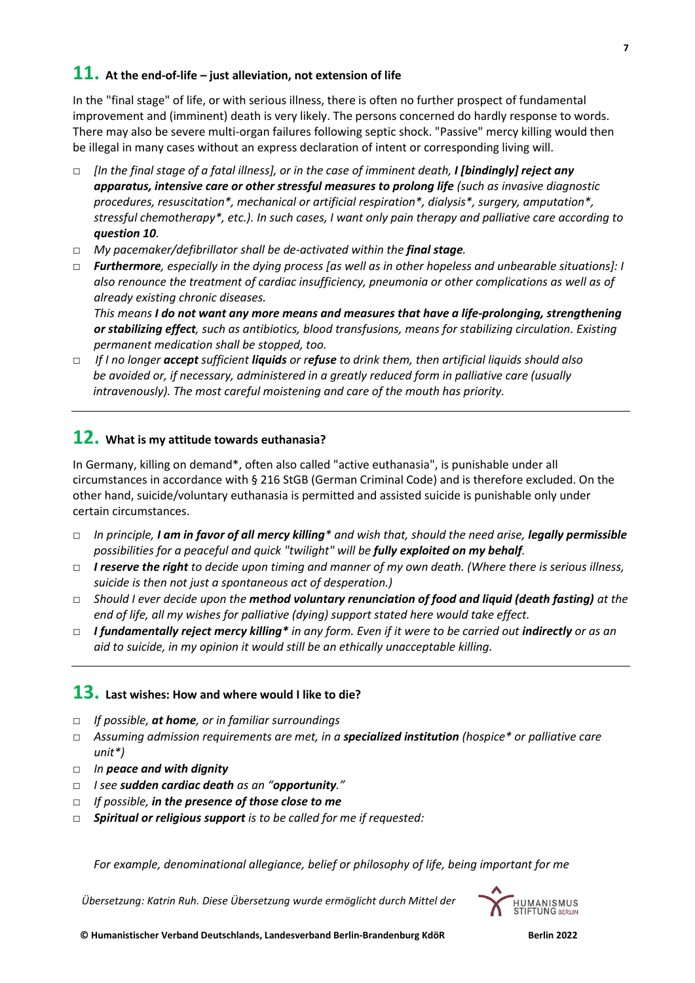In the "final stage" of life, or with serious illness, there is often no further prospect of fundamental improvement and (imminent) death is very likely. The persons concerned do hardly response to words. There may also be severe multi-organ failures following septic shock. "Passive" mercy killing would then be illegal in many cases without an express declaration of intent or corresponding living will.

- □ *[In the final stage of a fatal illness], or in the case of imminent death, I [bindingly] reject any apparatus, intensive care or other stressful measures to prolong life (such as invasive diagnostic procedures, resuscitation\*, mechanical or artificial respiration\*, dialysis\*, surgery, amputation\*, stressful chemotherapy\*, etc.). In such cases, I want only pain therapy and palliative care according to question 10.*
- □ *My pacemaker/defibrillator shall be de-activated within the final stage.*
- □ *Furthermore, especially in the dying process [as well as in other hopeless and unbearable situations]: I also renounce the treatment of cardiac insufficiency, pneumonia or other complications as well as of already existing chronic diseases.*

*This means I do not want any more means and measures that have a life-prolonging, strengthening or stabilizing effect, such as antibiotics, blood transfusions, means for stabilizing circulation. Existing permanent medication shall be stopped, too.* 

*□ If I no longer accept sufficient liquids or refuse to drink them, then artificial liquids should also be avoided or, if necessary, administered in a greatly reduced form in palliative care (usually intravenously). The most careful moistening and care of the mouth has priority.*

# **12. What is my attitude towards euthanasia?**

In Germany, killing on demand\*, often also called "active euthanasia", is punishable under all circumstances in accordance with § 216 StGB (German Criminal Code) and is therefore excluded. On the other hand, suicide/voluntary euthanasia is permitted and assisted suicide is punishable only under certain circumstances.

- □ *In principle, I am in favor of all mercy killing\* and wish that, should the need arise, legally permissible possibilities for a peaceful and quick "twilight" will be fully exploited on my behalf.*
- □ *I reserve the right to decide upon timing and manner of my own death. (Where there is serious illness, suicide is then not just a spontaneous act of desperation.)*
- □ *Should I ever decide upon the method voluntary renunciation of food and liquid (death fasting) at the end of life, all my wishes for palliative (dying) support stated here would take effect.*
- □ *I fundamentally reject mercy killing\* in any form. Even if it were to be carried out indirectly or as an aid to suicide, in my opinion it would still be an ethically unacceptable killing.*

## **13. Last wishes: How and where would I like to die?**

- □ *If possible, at home, or in familiar surroundings*
- □ *Assuming admission requirements are met, in a specialized institution (hospice\* or palliative care unit\*)*
- □ *In peace and with dignity*
- □ *I see sudden cardiac death as an "opportunity."*
- □ *If possible, in the presence of those close to me*
- □ *Spiritual or religious support is to be called for me if requested:*

*For example, denominational allegiance, belief or philosophy of life, being important for me*

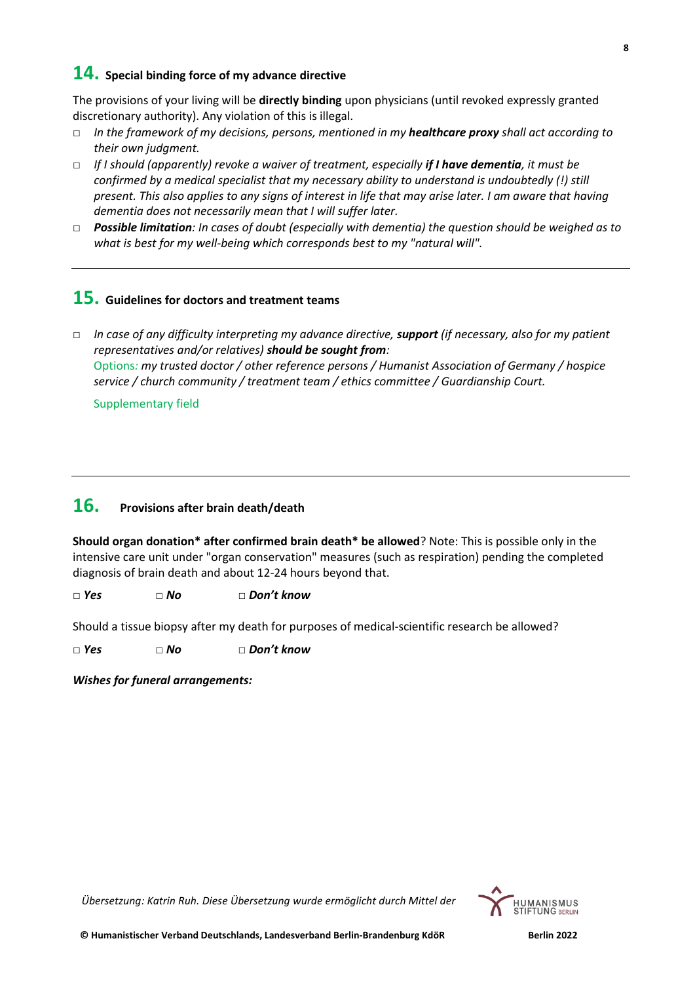## **14. Special binding force of my advance directive**

The provisions of your living will be **directly binding** upon physicians (until revoked expressly granted discretionary authority). Any violation of this is illegal.

- □ *In the framework of my decisions, persons, mentioned in my healthcare proxy shall act according to their own judgment.*
- □ *If I should (apparently) revoke a waiver of treatment, especially if I have dementia, it must be confirmed by a medical specialist that my necessary ability to understand is undoubtedly (!) still present. This also applies to any signs of interest in life that may arise later. I am aware that having dementia does not necessarily mean that I will suffer later.*
- □ *Possible limitation: In cases of doubt (especially with dementia) the question should be weighed as to what is best for my well-being which corresponds best to my "natural will".*

## **15. Guidelines for doctors and treatment teams**

□ *In case of any difficulty interpreting my advance directive, support (if necessary, also for my patient representatives and/or relatives) should be sought from:* Options*: my trusted doctor / other reference persons / Humanist Association of Germany / hospice service / church community / treatment team / ethics committee / Guardianship Court.*

Supplementary field

# **16. Provisions after brain death/death**

**Should organ donation\* after confirmed brain death\* be allowed**? Note: This is possible only in the intensive care unit under "organ conservation" measures (such as respiration) pending the completed diagnosis of brain death and about 12-24 hours beyond that.

□ *Yes □ No □ Don't know*

Should a tissue biopsy after my death for purposes of medical-scientific research be allowed?

*□ Yes □ No □ Don't know*

*Wishes for funeral arrangements:*